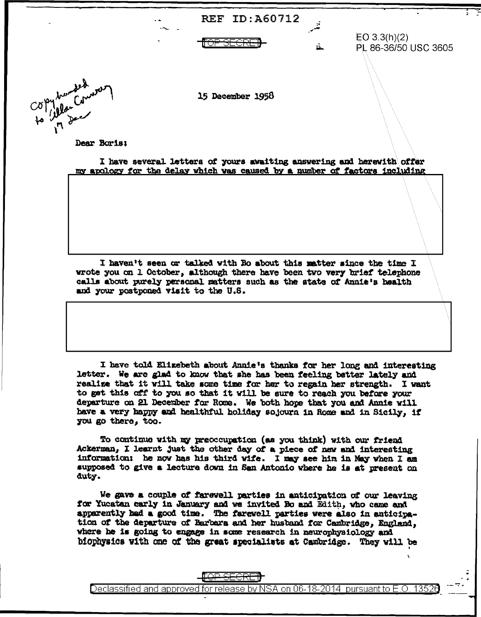|                      | - 4<br>- ^ | <b>REF ID: A60712</b> | ÷  |                                      |
|----------------------|------------|-----------------------|----|--------------------------------------|
|                      |            | AEAN<br>ਹਰਯਰ          | й. | EO 3.3(h)(2)<br>PL 86-36/50 USC 3605 |
| to allow to the word |            | 15 December 1958      |    |                                      |

Dear Boris:

 $C\delta$ 

I have several letters of yours awaiting answering and herewith offer my apology for the delay which was caused by a number of factors including

I haven't seen or talked with Bo about this matter since the time I wrote you on 1 October, although there have been two very brief telephone calls about purely personal matters such as the state of Annie's health and your postponed visit to the U.S.

I have told Elizebeth about Annie's thanks for her long and interesting letter. We are glad to know that she has been feeling better lately and realize that it will take some time for her to regain her strength. I want to get this off to you so that it will be sure to reach you before your departure on 21 December for Rome. We both hope that you and Annie will have a very happy and healthful holiday sojourn in Rome and in Sicily, if you go there, too.

To continue with my preoccupation (as you think) with our friend Ackerman, I learnt just the other day of a piece of new and interesting information: he now has his third wife. I may see him in May when I am supposed to give a lecture down in San Antonio where he is at present on duty.

We gave a couple of farewell parties in anticipation of our leaving for Yucatan carly in January and we invited Bo and Edith, who came and apparently had a good time. The farewell parties were also in anticipation of the departure of Barbara and her husband for Cambridge, England, where he is going to engage in some research in neurophysiology and biophysics with one of the great specialists at Cambridge. They will be

Declassified and approved for release by NSA on 06-18-2014 pursuant to E.O. 13526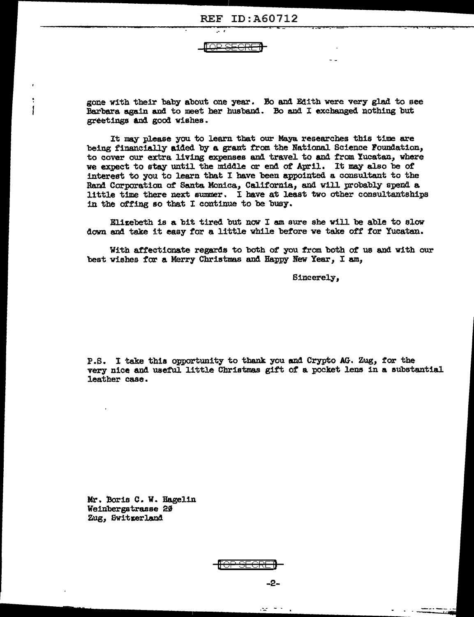IQ<del>P SFCR</del>

gone with their baby about one year. Bo and Edith were very glad to see Barbara again and to meet her husband. Bo and I exchanged nothing but greetings and good wishes.

It may please you to learn that our Maya researches this time are being financially aided by a grant from the National Science Foundation, to cover our extra living expenses and travel to and from Yucatan, where we expect to stay until the middle or end of April. It may also be of interest to you to learn that I have been appointed a consultant to the Rand Corporation of Santa Monica, California, and will probably spend a little time there next summer. I have at least two other consultantships in the offing so that I continue to be busy.

Elizebeth is a bit tired but now I am sure she will be able to slow down and take it easy for a little while before we take off for Yucatan.

With affectionate regards to both of you from both of us and with our best wishes for a Merry Christmas and Happy New Year, I am,

Sincerely,

P.S. I take this opportunity to thank you and Crypto AG. Zug, for the very nice and useful little Christmas gift of a pocket lens in a substantial leather case.

Mr. Boris C. W. Hagelin Weinbergstrasse 20 Zug, Switzerland



 $-2-$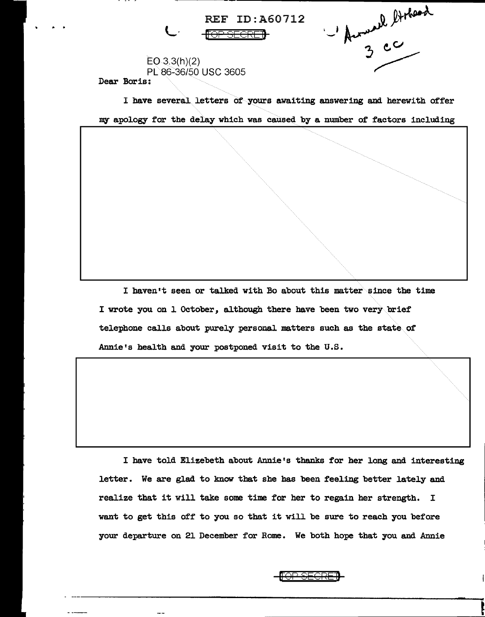Marsel Stehand REF ID:A60712 L<sup>'</sup> <del>for Secret</del>  $EO 3.3(h)(2)$ PL86-36/50 USC 3605 Dear Boris:

I have several letters of yours awaiting answering and herewith offer my apology for the delay which was caused by a number of factors including

I haven't seen or talked with Bo about this matter since the time I wrote you on 1 October, although there have been two very brief telephone calls about purely personal matters such as the state of Annie's health and your postponed visit to the U.S.

I have told Elizebeth about Annie's thanks for her long and interesting letter. We are glad to know that she has been feeling better lately and realize that it will take some time for her to regain her strength. I want to get this off to you so that it will be sure to reach you before your departure on 21 December for Rome. We both hope that you and Annie

f<del>or secre)</del>

**!**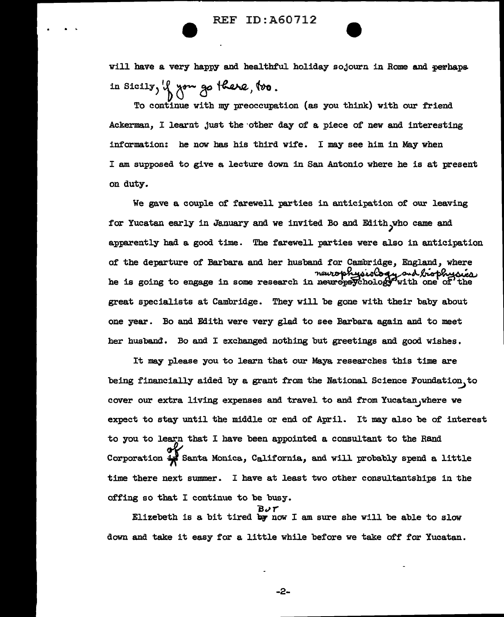will have a very happy and healthful holiday sojourn in Rome and perhaps in Sicily, if you go there, too.

To continue with my preoccupation (as you think) with our friend Ackerman, I learnt just the other day of a piece of new and interesting information: he now bas his third wife. I may see him in May when I am supposed to give a lecture down in San Antonio where he is at present on duty.

We gave a couple of farewell parties in anticipation of our leaving for Yucatan early in January and we invited Bo and Edith who came and apparently had a good time. The farewell parties were also in anticipation of the departure of Barbara and her husband for Cambridge, England, where meurophysiology ond biophysician in is going to engage in some research in neuropaychology with one of the great specialists at Cambridge. They will be gone with their baby about one year. Bo and Edith were very glad to see Barbara again and to meet her husband. Bo and I exchanged nothing but greetings and good wishes.

It may please you to learn that our Maya researches this time are being financially aided by a grant from the National Science Foundation, to cover our extra living expenses and travel to and from Yucatan, where we expect to stay until the middle or end of April. It may also be of interest to you to learn that I have been appointed a consultant to the Rand Corporation  $\frac{1}{2}$  Santa Monica, California, and will probably spend a little time there next summer. I have at least two other consultantships in the offing so that I continue to be busy.

 $B \vee r$ <br>Elizebeth is a bit tired by now I am sure she will be able to slow down and take it easy for a little while before we take off for Yucatan.

-2-